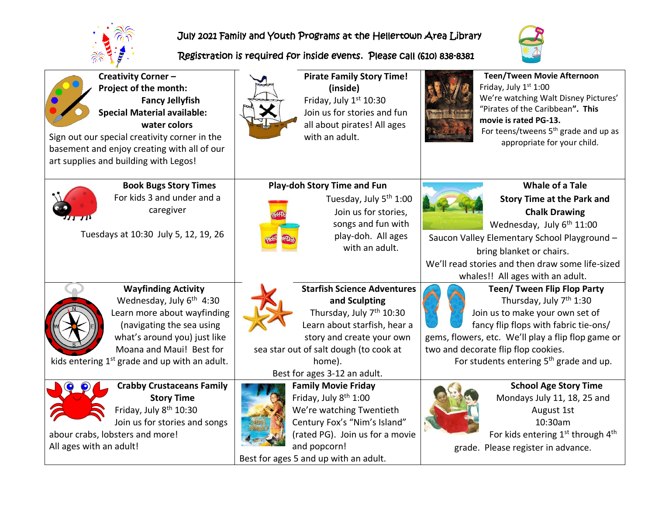

# July 2021 Family and Youth Programs at the Hellertown Area Library

## Registration is required for inside events. Please call (610) 838-8381



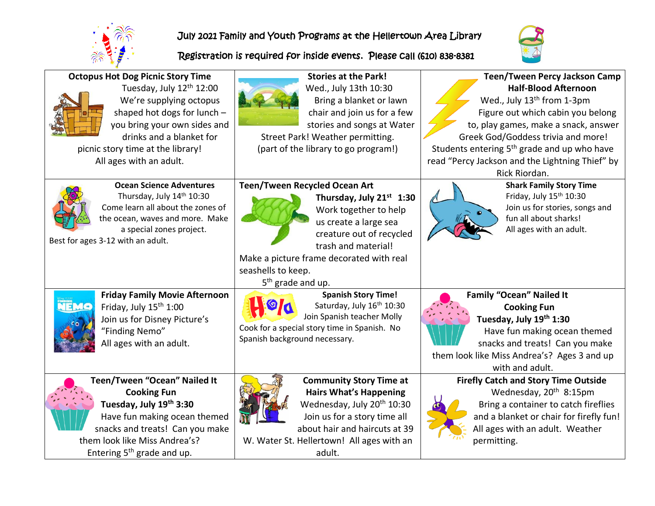

Best for ages 3-12 with an adult.

**Octopus Hot Dog Picnic Story Time**

picnic story time at the library! All ages with an adult.

Tuesday, July 12<sup>th</sup> 12:00 We're supplying octopus shaped hot dogs for lunch – you bring your own sides and drinks and a blanket for

**Ocean Science Adventures** Thursday, July 14<sup>th</sup> 10:30 Come learn all about the zones of the ocean, waves and more. Make a special zones project.

## July 2021 Family and Youth Programs at the Hellertown Area Library

#### Registration is required for inside events. Please call (610) 838-8381





Friday, July  $15<sup>th</sup> 1:00$ Join us for Disney Picture's "Finding Nemo" All ages with an adult.

**Friday Family Movie Afternoon**

**Teen/Tween "Ocean" Nailed It Cooking Fun Tuesday, July 19th 3:30** Have fun making ocean themed snacks and treats! Can you make them look like Miss Andrea's? Entering  $5<sup>th</sup>$  grade and up.



adult.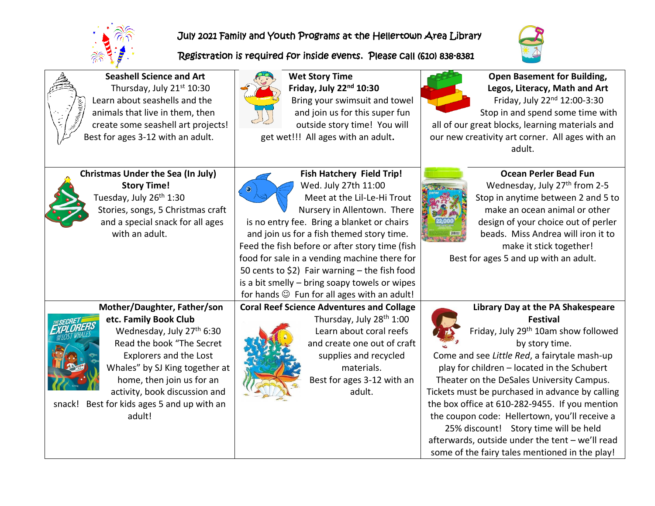

### July 2021 Family and Youth Programs at the Hellertown Area Library

#### Registration is required for inside events. Please call (610) 838-8381



| <b>El Manuel Company Company Company Company Company Company Company Company Company Company Company Company Company Company Company Company Company Company Company Company Company Company Company Company Company Company Com</b> |   |
|--------------------------------------------------------------------------------------------------------------------------------------------------------------------------------------------------------------------------------------|---|
| B                                                                                                                                                                                                                                    | Ó |

 $\mathbf{a}$ 

**Seashell Science and Art** Thursday, July 21<sup>st</sup> 10:30 Learn about seashells and the animals that live in them, then create some seashell art projects! est for ages 3-12 with an adult.



**Wet Story Time Friday, July 22nd 10:30** Bring your swimsuit and towel and join us for this super fun outside story time! You will get wet!!! All ages with an adult**.**



**Open Basement for Building, Legos, Literacy, Math and Art** Friday, July 22nd 12:00-3:30 Stop in and spend some time with

all of our great blocks, learning materials and our new creativity art corner. All ages with an adult.



**Christmas Under the Sea (In July) Story Time!**  Tuesday, July 26<sup>th</sup> 1:30 Stories, songs, 5 Christmas craft and a special snack for all ages with an adult.



**Fish Hatchery Field Trip!** Wed. July 27th 11:00 Meet at the Lil-Le-Hi Trout Nursery in Allentown. There is no entry fee. Bring a blanket or chairs and join us for a fish themed story time. Feed the fish before or after story time (fish food for sale in a vending machine there for 50 cents to \$2) Fair warning – the fish food is a bit smelly – bring soapy towels or wipes for hands  $\odot$  Fun for all ages with an adult!



**Ocean Perler Bead Fun** Wednesday, July 27<sup>th</sup> from 2-5 Stop in anytime between 2 and 5 to make an ocean animal or other design of your choice out of perler beads. Miss Andrea will iron it to make it stick together! Best for ages 5 and up with an adult.

# **Mother/Daughter, Father/son etc. Family Book Club**



Wednesday, July 27<sup>th</sup> 6:30 Read the book "The Secret Explorers and the Lost Whales" by SJ King together at home, then join us for an activity, book discussion and

snack! Best for kids ages 5 and up with an adult!



**Coral Reef Science Adventures and Collage** Thursday, July 28<sup>th</sup> 1:00 Learn about coral reefs and create one out of craft supplies and recycled materials. Best for ages 3-12 with an adult.



Friday, July 29<sup>th</sup> 10am show followed by story time.

Come and see *Little Red*, a fairytale mash-up play for children – located in the Schubert Theater on the DeSales University Campus. Tickets must be purchased in advance by calling the box office at 610-282-9455. If you mention the coupon code: Hellertown, you'll receive a 25% discount! Story time will be held

afterwards, outside under the tent – we'll read some of the fairy tales mentioned in the play!